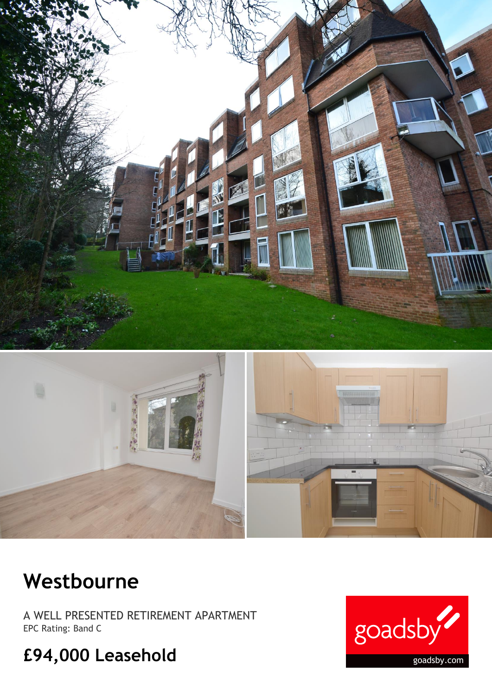

## **Westbourne**

A WELL PRESENTED RETIREMENT APARTMENT EPC Rating: Band C

## **£94,000 Leasehold**